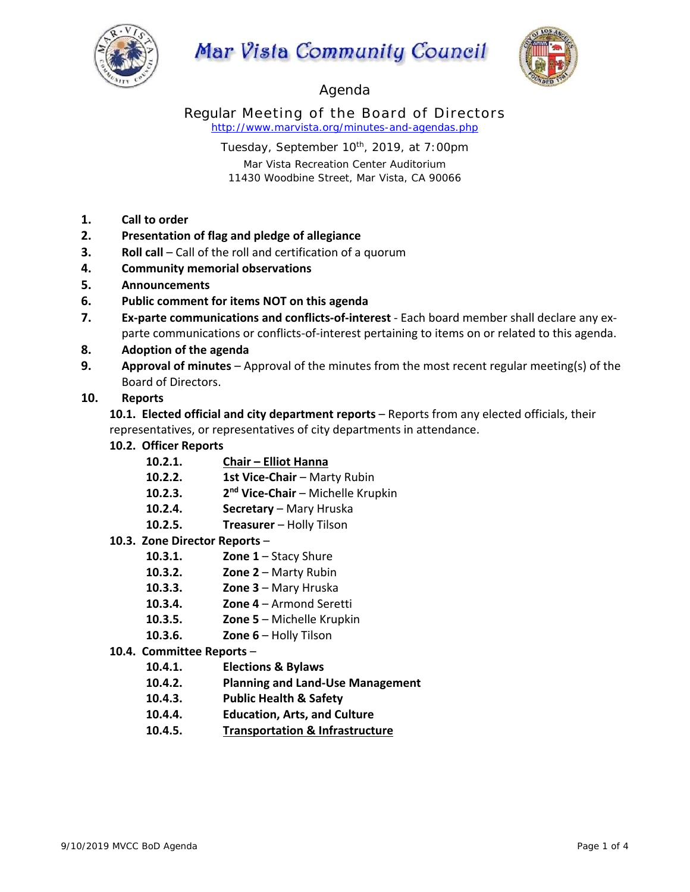

# Mar Vista Community Council



# Agenda

Regular Meeting of the Board of Directors *http://www.marvista.org/minutes-and-agendas.php* 

> Tuesday, September 10<sup>th</sup>, 2019, at 7:00pm Mar Vista Recreation Center Auditorium 11430 Woodbine Street, Mar Vista, CA 90066

- **1. Call to order**
- **2. Presentation of flag and pledge of allegiance**
- **3. Roll call** Call of the roll and certification of a quorum
- **4. Community memorial observations**
- **5. Announcements**
- **6. Public comment for items NOT on this agenda**
- **7. Ex‐parte communications and conflicts‐of‐interest** ‐ Each board member shall declare any ex‐ parte communications or conflicts-of-interest pertaining to items on or related to this agenda.
- **8. Adoption of the agenda**
- **9. Approval of minutes** Approval of the minutes from the most recent regular meeting(s) of the Board of Directors.

# **10. Reports**

**10.1. Elected official and city department reports** – Reports from any elected officials, their representatives, or representatives of city departments in attendance.

- **10.2. Officer Reports** 
	- **10.2.1. Chair Elliot Hanna**
	- **10.2.2. 1st Vice-Chair** Marty Rubin
	- **10.2.3. 2nd Vice‐Chair**  Michelle Krupkin
	- 10.2.4. **Secretary** Mary Hruska
	- **10.2.5. Treasurer**  Holly Tilson

#### **10.3. Zone Director Reports** –

- **10.3.1. Zone 1** Stacy Shure
- **10.3.2. Zone 2** Marty Rubin
- **10.3.3. Zone 3**  Mary Hruska
- **10.3.4. Zone 4**  Armond Seretti
- **10.3.5. Zone 5**  Michelle Krupkin
- **10.3.6. Zone 6**  Holly Tilson
- **10.4. Committee Reports** 
	- **10.4.1. Elections & Bylaws**
	- **10.4.2. Planning and Land‐Use Management**
	- **10.4.3. Public Health & Safety**
	- **10.4.4. Education, Arts, and Culture**
	- **10.4.5. Transportation & Infrastructure**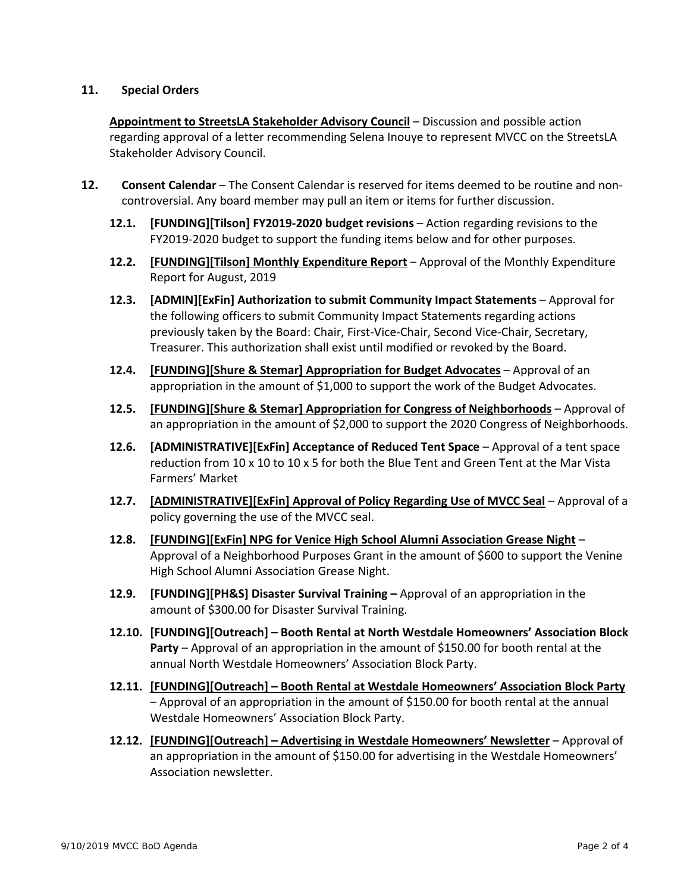### **11. Special Orders**

**Appointment to StreetsLA Stakeholder Advisory Council** – Discussion and possible action regarding approval of a letter recommending Selena Inouye to represent MVCC on the StreetsLA Stakeholder Advisory Council.

- 12. **Consent Calendar** The Consent Calendar is reserved for items deemed to be routine and noncontroversial. Any board member may pull an item or items for further discussion.
	- **12.1. [FUNDING][Tilson] FY2019‐2020 budget revisions** Action regarding revisions to the FY2019-2020 budget to support the funding items below and for other purposes.
	- **12.2. [FUNDING][Tilson] Monthly Expenditure Report** Approval of the Monthly Expenditure Report for August, 2019
	- **12.3. [ADMIN][ExFin] Authorization to submit Community Impact Statements**  Approval for the following officers to submit Community Impact Statements regarding actions previously taken by the Board: Chair, First‐Vice‐Chair, Second Vice‐Chair, Secretary, Treasurer. This authorization shall exist until modified or revoked by the Board.
	- **12.4. [FUNDING][Shure & Stemar] Appropriation for Budget Advocates** Approval of an appropriation in the amount of \$1,000 to support the work of the Budget Advocates.
	- **12.5. [FUNDING][Shure & Stemar] Appropriation for Congress of Neighborhoods**  Approval of an appropriation in the amount of \$2,000 to support the 2020 Congress of Neighborhoods.
	- **12.6. [ADMINISTRATIVE][ExFin] Acceptance of Reduced Tent Space** Approval of a tent space reduction from 10 x 10 to 10 x 5 for both the Blue Tent and Green Tent at the Mar Vista Farmers' Market
	- 12.7. [ADMINISTRATIVE][ExFin] Approval of Policy Regarding Use of MVCC Seal Approval of a policy governing the use of the MVCC seal.
	- **12.8. [FUNDING][ExFin] NPG for Venice High School Alumni Association Grease Night**  Approval of a Neighborhood Purposes Grant in the amount of \$600 to support the Venine High School Alumni Association Grease Night.
	- **12.9. [FUNDING][PH&S] Disaster Survival Training** Approval of an appropriation in the amount of \$300.00 for Disaster Survival Training.
	- **12.10. [FUNDING][Outreach] – Booth Rental at North Westdale Homeowners' Association Block Party** – Approval of an appropriation in the amount of \$150.00 for booth rental at the annual North Westdale Homeowners' Association Block Party.
	- **12.11. [FUNDING][Outreach] – Booth Rental at Westdale Homeowners' Association Block Party** – Approval of an appropriation in the amount of \$150.00 for booth rental at the annual Westdale Homeowners' Association Block Party.
	- **12.12. [FUNDING][Outreach] – Advertising in Westdale Homeowners' Newsletter** Approval of an appropriation in the amount of \$150.00 for advertising in the Westdale Homeowners' Association newsletter.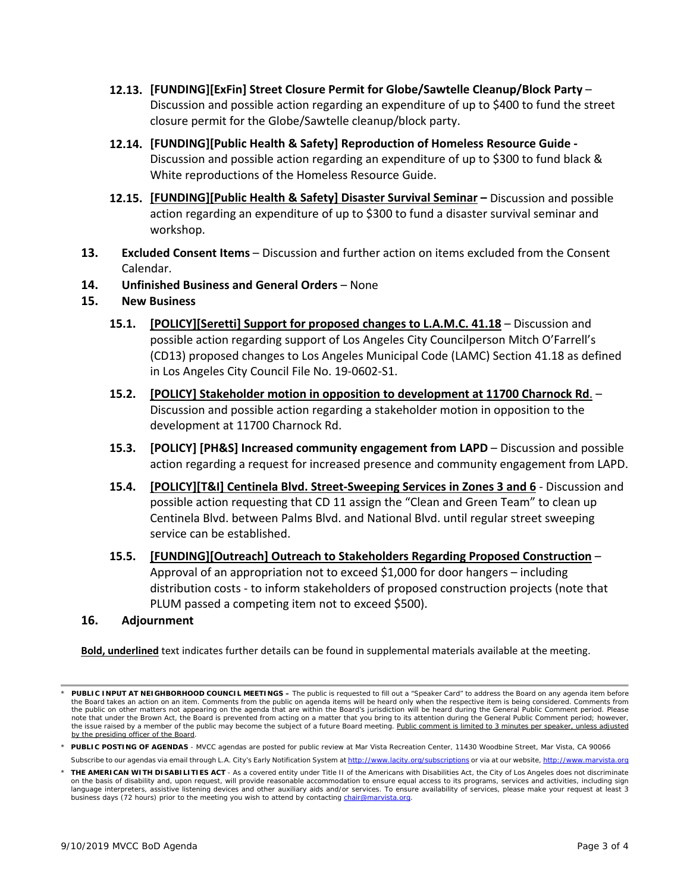- **12.13. [FUNDING][ExFin] Street Closure Permit for Globe/Sawtelle Cleanup/Block Party**  Discussion and possible action regarding an expenditure of up to \$400 to fund the street closure permit for the Globe/Sawtelle cleanup/block party.
- **12.14. [FUNDING][Public Health & Safety] Reproduction of Homeless Resource Guide ‐**  Discussion and possible action regarding an expenditure of up to \$300 to fund black & White reproductions of the Homeless Resource Guide.
- **12.15. [FUNDING][Public Health & Safety] Disaster Survival Seminar –** Discussion and possible action regarding an expenditure of up to \$300 to fund a disaster survival seminar and workshop.
- **13. Excluded Consent Items** Discussion and further action on items excluded from the Consent Calendar.
- **14. Unfinished Business and General Orders** None

# **15. New Business**

- **15.1. [POLICY][Seretti] Support for proposed changes to L.A.M.C. 41.18** Discussion and possible action regarding support of Los Angeles City Councilperson Mitch O'Farrell's (CD13) proposed changes to Los Angeles Municipal Code (LAMC) Section 41.18 as defined in Los Angeles City Council File No. 19‐0602‐S1.
- **15.2. [POLICY] Stakeholder motion in opposition to development at 11700 Charnock Rd**. Discussion and possible action regarding a stakeholder motion in opposition to the development at 11700 Charnock Rd.
- **15.3. [POLICY] [PH&S] Increased community engagement from LAPD**  Discussion and possible action regarding a request for increased presence and community engagement from LAPD.
- **15.4. [POLICY][T&I] Centinela Blvd. Street‐Sweeping Services in Zones 3 and 6** ‐ Discussion and possible action requesting that CD 11 assign the "Clean and Green Team" to clean up Centinela Blvd. between Palms Blvd. and National Blvd. until regular street sweeping service can be established.
- **15.5. [FUNDING][Outreach] Outreach to Stakeholders Regarding Proposed Construction** Approval of an appropriation not to exceed \$1,000 for door hangers – including distribution costs ‐ to inform stakeholders of proposed construction projects (note that PLUM passed a competing item not to exceed \$500).

#### **16. Adjournment**

**Bold, underlined** text indicates further details can be found in supplemental materials available at the meeting.

*<sup>\*</sup> PUBLIC INPUT AT NEIGHBORHOOD COUNCIL MEETINGS – The public is requested to fill out a "Speaker Card" to address the Board on any agenda item before the Board takes an action on an item. Comments from the public on agenda items will be heard only when the respective item is being considered. Comments from*  the public on other matters not appearing on the agenda that are within the Board's jurisdiction will be heard during the General Public Comment period. Please *note that under the Brown Act, the Board is prevented from acting on a matter that you bring to its attention during the General Public Comment period; however,*  the issue raised by a member of the public may become the subject of a future Board meeting. Public comment is limited to 3 minutes per speaker, unless adjusted *by the presiding officer of the Board.* 

*<sup>\*</sup> PUBLIC POSTING OF AGENDAS - MVCC agendas are posted for public review at Mar Vista Recreation Center, 11430 Woodbine Street, Mar Vista, CA 90066*

Subscribe to our agendas via email through L.A. City's Early Notification System at http://www.lacity.org/subscriptions or via at our website, http://www.

*<sup>\*</sup> THE AMERICAN WITH DISABILITIES ACT - As a covered entity under Title II of the Americans with Disabilities Act, the City of Los Angeles does not discriminate on the basis of disability and, upon request, will provide reasonable accommodation to ensure equal access to its programs, services and activities, including sign language interpreters, assistive listening devices and other auxiliary aids and/or services. To ensure availability of services, please make your request at least 3 business days (72 hours) prior to the meeting you wish to attend by contacting chair@marvista.org.*